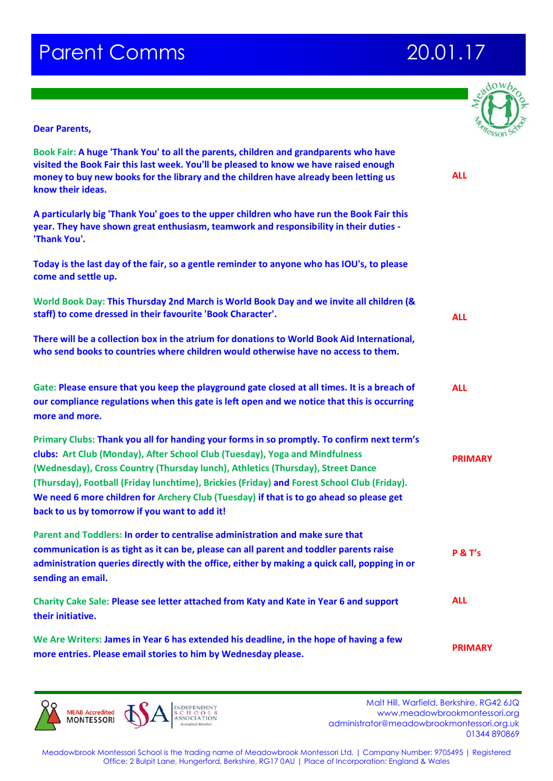## **Parent Comms 20.01.17**



### **Dear Parents,**

| Book Fair: A huge 'Thank You' to all the parents, children and grandparents who have<br>visited the Book Fair this last week. You'll be pleased to know we have raised enough<br>money to buy new books for the library and the children have already been letting us<br>know their ideas.                                                                                                                                                                                                              | <b>ALL</b>         |
|---------------------------------------------------------------------------------------------------------------------------------------------------------------------------------------------------------------------------------------------------------------------------------------------------------------------------------------------------------------------------------------------------------------------------------------------------------------------------------------------------------|--------------------|
| A particularly big 'Thank You' goes to the upper children who have run the Book Fair this<br>year. They have shown great enthusiasm, teamwork and responsibility in their duties -<br>'Thank You'.                                                                                                                                                                                                                                                                                                      |                    |
| Today is the last day of the fair, so a gentle reminder to anyone who has IOU's, to please<br>come and settle up.                                                                                                                                                                                                                                                                                                                                                                                       |                    |
| World Book Day: This Thursday 2nd March is World Book Day and we invite all children (&<br>staff) to come dressed in their favourite 'Book Character'.                                                                                                                                                                                                                                                                                                                                                  | <b>ALL</b>         |
| There will be a collection box in the atrium for donations to World Book Aid International,<br>who send books to countries where children would otherwise have no access to them.                                                                                                                                                                                                                                                                                                                       |                    |
| Gate: Please ensure that you keep the playground gate closed at all times. It is a breach of<br>our compliance regulations when this gate is left open and we notice that this is occurring<br>more and more.                                                                                                                                                                                                                                                                                           | <b>ALL</b>         |
| Primary Clubs: Thank you all for handing your forms in so promptly. To confirm next term's<br>clubs: Art Club (Monday), After School Club (Tuesday), Yoga and Mindfulness<br>(Wednesday), Cross Country (Thursday lunch), Athletics (Thursday), Street Dance<br>(Thursday), Football (Friday lunchtime), Brickies (Friday) and Forest School Club (Friday).<br>We need 6 more children for Archery Club (Tuesday) if that is to go ahead so please get<br>back to us by tomorrow if you want to add it! | <b>PRIMARY</b>     |
| Parent and Toddlers: In order to centralise administration and make sure that<br>communication is as tight as it can be, please can all parent and toddler parents raise<br>administration queries directly with the office, either by making a quick call, popping in or<br>sending an email.                                                                                                                                                                                                          | <b>P &amp; T's</b> |
| Charity Cake Sale: Please see letter attached from Katy and Kate in Year 6 and support<br>their initiative.                                                                                                                                                                                                                                                                                                                                                                                             | <b>ALL</b>         |
| We Are Writers: James in Year 6 has extended his deadline, in the hope of having a few<br>more entries. Please email stories to him by Wednesday please.                                                                                                                                                                                                                                                                                                                                                | <b>PRIMARY</b>     |

Malt Hill, Warfield, Berkshire, RG42 6JQ<br>MONTESSORI ASSOCIATION<br>MONTESSORI ASSOCIATION<br>MONTESSORI ASSOCIATION www.meadowbrookmontessori.org [administrator@meadowbrookmontessori.org.uk](mailto:administrator@meadowbrookmontessori.org.uk) 01344 890869

Meadowbrook Montessori School is the trading name of Meadowbrook Montessori Ltd. | Company Number: 9705495 | Registered Office: 2 Bulpit Lane, Hungerford, Berkshire, RG17 0AU | Place of Incorporation: England & Wales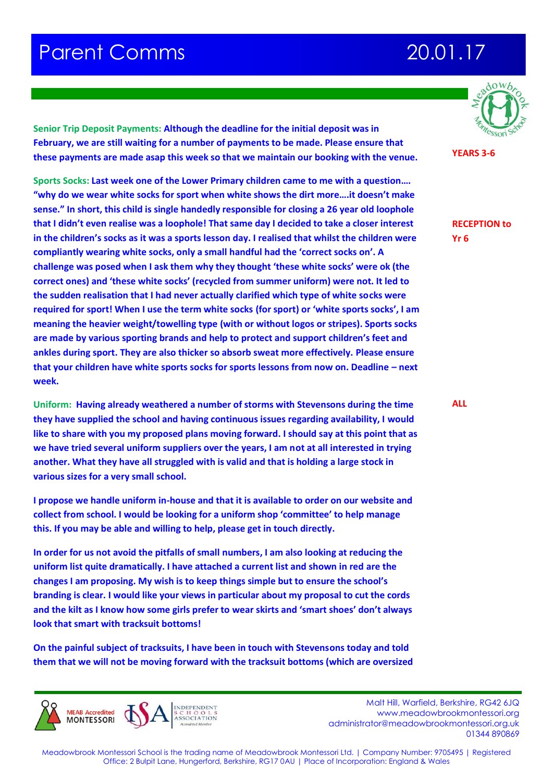## **Parent Comms 20.01.17**



**Senior Trip Deposit Payments: Although the deadline for the initial deposit was in February, we are still waiting for a number of payments to be made. Please ensure that these payments are made asap this week so that we maintain our booking with the venue.**

**Sports Socks: Last week one of the Lower Primary children came to me with a question…. "why do we wear white socks for sport when white shows the dirt more….it doesn't make sense." In short, this child is single handedly responsible for closing a 26 year old loophole that I didn't even realise was a loophole! That same day I decided to take a closer interest in the children's socks as it was a sports lesson day. I realised that whilst the children were compliantly wearing white socks, only a small handful had the 'correct socks on'. A challenge was posed when I ask them why they thought 'these white socks' were ok (the correct ones) and 'these white socks' (recycled from summer uniform) were not. It led to the sudden realisation that I had never actually clarified which type of white socks were required for sport! When I use the term white socks (for sport) or 'white sports socks', I am meaning the heavier weight/towelling type (with or without logos or stripes). Sports socks are made by various sporting brands and help to protect and support children's feet and ankles during sport. They are also thicker so absorb sweat more effectively. Please ensure that your children have white sports socks for sports lessons from now on. Deadline – next week.**

**Uniform: Having already weathered a number of storms with Stevensons during the time they have supplied the school and having continuous issues regarding availability, I would like to share with you my proposed plans moving forward. I should say at this point that as we have tried several uniform suppliers over the years, I am not at all interested in trying another. What they have all struggled with is valid and that is holding a large stock in various sizes for a very small school.** 

**I propose we handle uniform in-house and that it is available to order on our website and collect from school. I would be looking for a uniform shop 'committee' to help manage this. If you may be able and willing to help, please get in touch directly.**

**In order for us not avoid the pitfalls of small numbers, I am also looking at reducing the uniform list quite dramatically. I have attached a current list and shown in red are the changes I am proposing. My wish is to keep things simple but to ensure the school's branding is clear. I would like your views in particular about my proposal to cut the cords and the kilt as I know how some girls prefer to wear skirts and 'smart shoes' don't always look that smart with tracksuit bottoms!**

**On the painful subject of tracksuits, I have been in touch with Stevensons today and told them that we will not be moving forward with the tracksuit bottoms (which are oversized** 



Malt Hill, Warfield, Berkshire, RG42 6JQ<br>Malt Hill, Warfield, Berkshire, RG42 6JQ www.meadowbrookmontessori.org [administrator@meadowbrookmontessori.org.uk](mailto:administrator@meadowbrookmontessori.org.uk) 01344 890869

Meadowbrook Montessori School is the trading name of Meadowbrook Montessori Ltd. | Company Number: 9705495 | Registered Office: 2 Bulpit Lane, Hungerford, Berkshire, RG17 0AU | Place of Incorporation: England & Wales

**YEARS 3-6**

**RECEPTION to Yr 6**

**ALL**